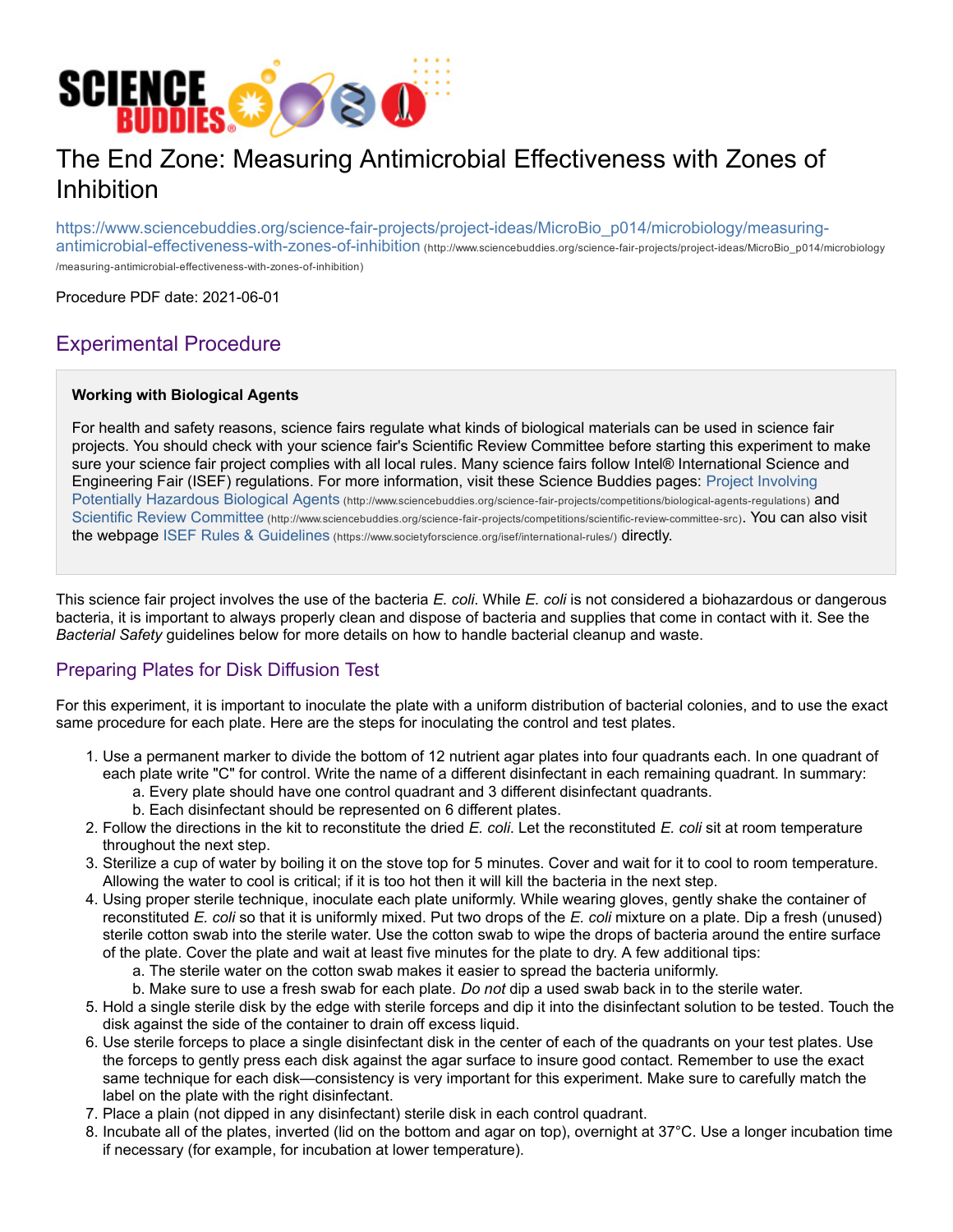

# The End Zone: Measuring Antimicrobial Effectiveness with Zones of Inhibition

https://www.sciencebuddies.org/science-fair-projects/project-ideas/MicroBio\_p014/microbiology/measuringantimicrobial-effectiveness-with-zones-of-inhibition (http://www.sciencebuddies.org/science-fair-projects/project-ideas/MicroBio\_p014/microbiology /measuring-antimicrobial-effectiveness-with-zones-of-inhibition)

Procedure PDF date: 2021-06-01

## Experimental Procedure

#### **Working with Biological Agents**

For health and safety reasons, science fairs regulate what kinds of biological materials can be used in science fair projects. You should check with your science fair's Scientific Review Committee before starting this experiment to make sure your science fair project complies with all local rules. Many science fairs follow Intel® International Science and Engineering Fair (ISEF) regulations. For more information, visit these Science Buddies pages: Project Involving Potentially Hazardous Biological Agents (http://www.sciencebuddies.org/science-fair-projects/competitions/biological-agents-regulations) and Scientific Review Committee (http://www.sciencebuddies.org/science-fair-projects/competitions/scientific-review-committee-src). You can also visit the webpage ISEF Rules & Guidelines (https://www.societyforscience.org/isef/international-rules/) directly.

This science fair project involves the use of the bacteria *E. coli*. While *E. coli* is not considered a biohazardous or dangerous bacteria, it is important to always properly clean and dispose of bacteria and supplies that come in contact with it. See the *Bacterial Safety* guidelines below for more details on how to handle bacterial cleanup and waste.

## Preparing Plates for Disk Diffusion Test

For this experiment, it is important to inoculate the plate with a uniform distribution of bacterial colonies, and to use the exact same procedure for each plate. Here are the steps for inoculating the control and test plates.

- 1. Use a permanent marker to divide the bottom of 12 nutrient agar plates into four quadrants each. In one quadrant of each plate write "C" for control. Write the name of a different disinfectant in each remaining quadrant. In summary:
	- a. Every plate should have one control quadrant and 3 different disinfectant quadrants.
	- b. Each disinfectant should be represented on 6 different plates.
- 2. Follow the directions in the kit to reconstitute the dried *E. coli*. Let the reconstituted *E. coli* sit at room temperature throughout the next step.
- 3. Sterilize a cup of water by boiling it on the stove top for 5 minutes. Cover and wait for it to cool to room temperature. Allowing the water to cool is critical; if it is too hot then it will kill the bacteria in the next step.
- 4. Using proper sterile technique, inoculate each plate uniformly. While wearing gloves, gently shake the container of reconstituted *E. coli* so that it is uniformly mixed. Put two drops of the *E. coli* mixture on a plate. Dip a fresh (unused) sterile cotton swab into the sterile water. Use the cotton swab to wipe the drops of bacteria around the entire surface of the plate. Cover the plate and wait at least five minutes for the plate to dry. A few additional tips:
	- a. The sterile water on the cotton swab makes it easier to spread the bacteria uniformly.
	- b. Make sure to use a fresh swab for each plate. *Do not* dip a used swab back in to the sterile water.
- 5. Hold a single sterile disk by the edge with sterile forceps and dip it into the disinfectant solution to be tested. Touch the disk against the side of the container to drain off excess liquid.
- 6. Use sterile forceps to place a single disinfectant disk in the center of each of the quadrants on your test plates. Use the forceps to gently press each disk against the agar surface to insure good contact. Remember to use the exact same technique for each disk—consistency is very important for this experiment. Make sure to carefully match the label on the plate with the right disinfectant.
- 7. Place a plain (not dipped in any disinfectant) sterile disk in each control quadrant.
- 8. Incubate all of the plates, inverted (lid on the bottom and agar on top), overnight at 37°C. Use a longer incubation time if necessary (for example, for incubation at lower temperature).